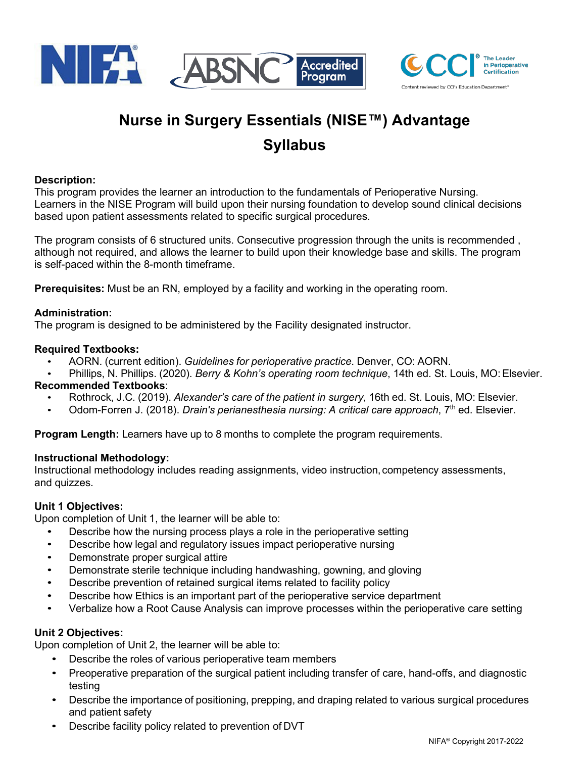



# **Nurse in Surgery Essentials (NISE™) Advantage Syllabus**

#### **Description:**

This program provides the learner an introduction to the fundamentals of Perioperative Nursing. Learners in the NISE Program will build upon their nursing foundation to develop sound clinical decisions based upon patient assessments related to specific surgical procedures.

The program consists of 6 structured units. Consecutive progression through the units is recommended , although not required, and allows the learner to build upon their knowledge base and skills. The program is self-paced within the 8-month timeframe.

**Prerequisites:** Must be an RN, employed by a facility and working in the operating room.

#### **Administration:**

The program is designed to be administered by the Facility designated instructor.

#### **Required Textbooks:**

- AORN. (current edition). *Guidelines for perioperative practice*. Denver, CO: AORN.
- Phillips, N. Phillips. (2020). *Berry & Kohn's operating room technique*, 14th ed. St. Louis, MO:Elsevier. **Recommended Textbooks**:
	- Rothrock, J.C. (2019). *Alexander's care of the patient in surgery*, 16th ed. St. Louis, MO: Elsevier.
	- Odom-Forren J. (2018). *Drain's perianesthesia nursing: A critical care approach*, 7th ed. Elsevier.

**Program Length:** Learners have up to 8 months to complete the program requirements.

#### **Instructional Methodology:**

Instructional methodology includes reading assignments, video instruction, competency assessments, and quizzes.

#### **Unit 1 Objectives:**

Upon completion of Unit 1, the learner will be able to:

- Describe how the nursing process plays a role in the perioperative setting
- Describe how legal and regulatory issues impact perioperative nursing
- Demonstrate proper surgical attire
- Demonstrate sterile technique including handwashing, gowning, and gloving
- Describe prevention of retained surgical items related to facility policy
- Describe how Ethics is an important part of the perioperative service department
- Verbalize how a Root Cause Analysis can improve processes within the perioperative care setting

#### **Unit 2 Objectives:**

Upon completion of Unit 2, the learner will be able to:

- Describe the roles of various perioperative team members
- Preoperative preparation of the surgical patient including transfer of care, hand-offs, and diagnostic testing
- Describe the importance of positioning, prepping, and draping related to various surgical procedures and patient safety
- Describe facility policy related to prevention of DVT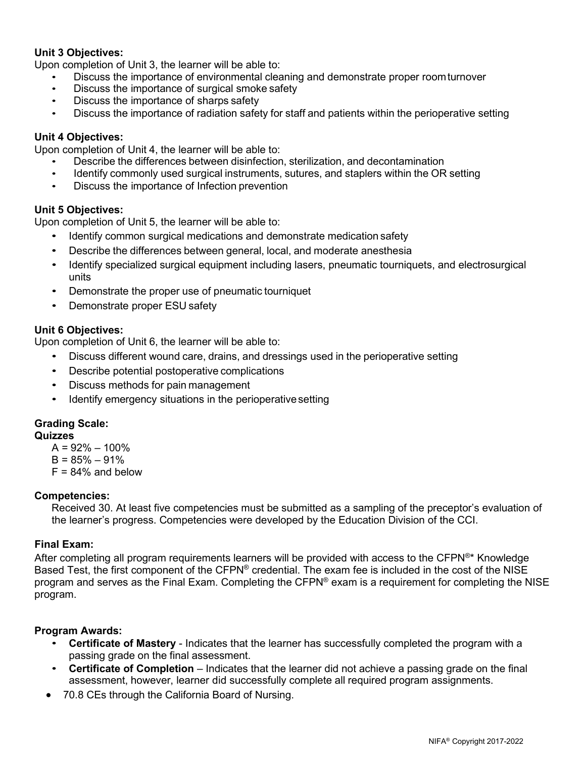#### **Unit 3 Objectives:**

Upon completion of Unit 3, the learner will be able to:

- Discuss the importance of environmental cleaning and demonstrate proper roomturnover
- Discuss the importance of surgical smoke safety
- Discuss the importance of sharps safety
- Discuss the importance of radiation safety for staff and patients within the perioperative setting

#### **Unit 4 Objectives:**

Upon completion of Unit 4, the learner will be able to:

- Describe the differences between disinfection, sterilization, and decontamination
- Identify commonly used surgical instruments, sutures, and staplers within the OR setting
- Discuss the importance of Infection prevention

#### **Unit 5 Objectives:**

Upon completion of Unit 5, the learner will be able to:

- Identify common surgical medications and demonstrate medication safety
- Describe the differences between general, local, and moderate anesthesia
- Identify specialized surgical equipment including lasers, pneumatic tourniquets, and electrosurgical units
- Demonstrate the proper use of pneumatic tourniquet
- Demonstrate proper ESU safety

#### **Unit 6 Objectives:**

Upon completion of Unit 6, the learner will be able to:

- Discuss different wound care, drains, and dressings used in the perioperative setting
- Describe potential postoperative complications
- Discuss methods for pain management
- Identify emergency situations in the perioperative setting

## **Grading Scale:**

### **Quizzes**

- $A = 92\% 100\%$
- $B = 85\% 91\%$
- $F = 84\%$  and below

#### **Competencies:**

Received 30. At least five competencies must be submitted as a sampling of the preceptor's evaluation of the learner's progress. Competencies were developed by the Education Division of the CCI.

#### **Final Exam:**

After completing all program requirements learners will be provided with access to the CFPN®\* Knowledge Based Test, the first component of the CFPN® credential. The exam fee is included in the cost of the NISE program and serves as the Final Exam. Completing the CFPN® exam is a requirement for completing the NISE program.

#### **Program Awards:**

- **Certificate of Mastery**  Indicates that the learner has successfully completed the program with a passing grade on the final assessment.
- **Certificate of Completion**  Indicates that the learner did not achieve a passing grade on the final assessment, however, learner did successfully complete all required program assignments.
- 70.8 CEs through the California Board of Nursing.